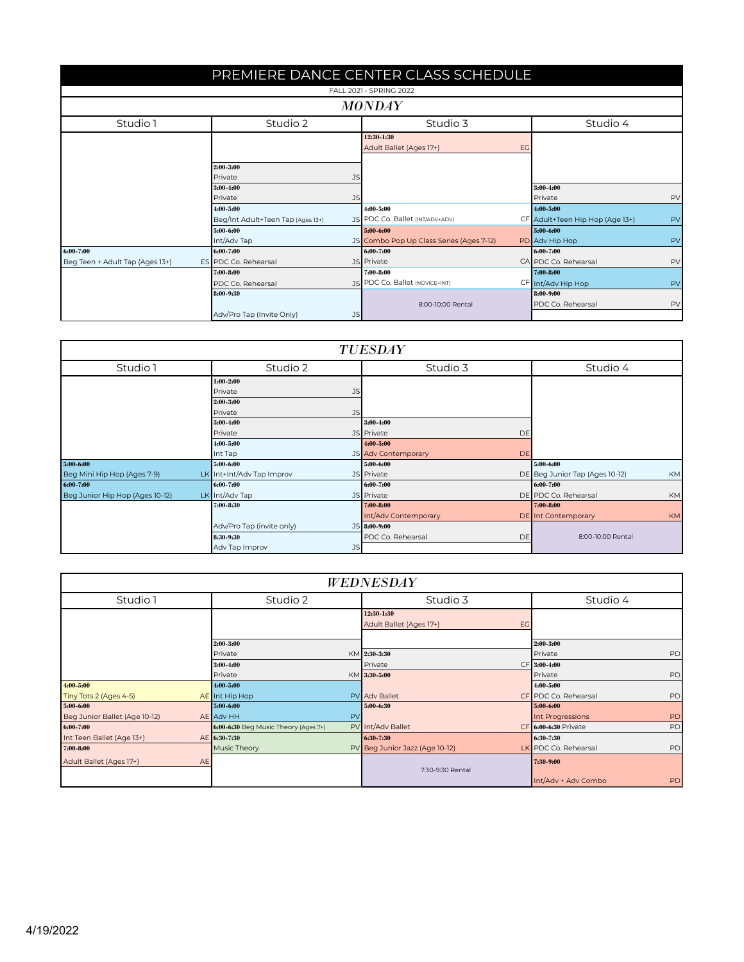| PREMIERE DANCE CENTER CLASS SCHEDULE |                                        |                                                    |                                       |  |
|--------------------------------------|----------------------------------------|----------------------------------------------------|---------------------------------------|--|
| FALL 2021 - SPRING 2022              |                                        |                                                    |                                       |  |
|                                      |                                        | <b>MONDAY</b>                                      |                                       |  |
| Studio 1                             | Studio 2                               | Studio 3                                           | Studio 4                              |  |
|                                      |                                        | 12:30 1:30<br>Adult Ballet (Ages 17+)<br><b>EG</b> |                                       |  |
|                                      | 2:00-3:00<br>Private<br><b>JS</b>      |                                                    |                                       |  |
|                                      | 3:00-4:00                              |                                                    | 3:00-4:00                             |  |
|                                      | JS<br>Private                          |                                                    | PV<br>Private                         |  |
|                                      | 4:00-5:00                              | 4:00-5:00                                          | 4:00-5:00                             |  |
|                                      | Beg/Int Adult+Teen Tap (Ages 13+)      | JS PDC Co. Ballet (INT/ADV+ADV)                    | CF Adult+Teen Hip Hop (Age 13+)<br>PV |  |
|                                      | 5:00-6:00                              | 5:00-6:00                                          | 5:00-6:00                             |  |
|                                      | Int/Adv Tap                            | JS Combo Pop Up Class Series (Ages 7-12)           | PV<br>PD Adv Hip Hop                  |  |
| 6:00-7:00                            | 6:00-7:00                              | 6:00-7:00                                          | 6:00-7:00                             |  |
| Beg Teen + Adult Tap (Ages 13+)      | ES PDC Co. Rehearsal                   | JS Private                                         | CA PDC Co. Rehearsal<br>PV            |  |
|                                      | 7:00-8:00                              | 7:00-8:00                                          | $7:00 - 8:00$                         |  |
|                                      | PDC Co. Rehearsal                      | JS PDC Co. Ballet (NOVICE+INT)                     | CF Int/Adv Hip Hop<br>PV              |  |
|                                      | 8:00-9:30                              |                                                    | 8:00-9:00                             |  |
|                                      |                                        | 8:00-10:00 Rental                                  | PDC Co. Rehearsal<br>PV               |  |
|                                      | Adv/Pro Tap (Invite Only)<br><b>JS</b> |                                                    |                                       |  |

| <b>TUESDAY</b>                  |                           |                                  |                                      |
|---------------------------------|---------------------------|----------------------------------|--------------------------------------|
| Studio 1                        | Studio 2                  | Studio 3                         | Studio 4                             |
|                                 | $1:00 - 2:00$             |                                  |                                      |
|                                 | Private<br><b>JS</b>      |                                  |                                      |
|                                 | 2:00-3:00                 |                                  |                                      |
|                                 | Private<br>JS             |                                  |                                      |
|                                 | $3:00 - 4:00$             | $3:00 - 4:00$                    |                                      |
|                                 | Private                   | JS Private<br><b>DE</b>          |                                      |
|                                 | 4:00-5:00                 | 4:00-5:00                        |                                      |
|                                 | Int Tap                   | JS Adv Contemporary<br><b>DE</b> |                                      |
| 5:00-6:00                       | 5:00-6:00                 | 5:00-6:00                        | 5:00-6:00                            |
| Beg Mini Hip Hop (Ages 7-9)     | LK Int+Int/Adv Tap Improv | JS Private                       | DE Beg Junior Tap (Ages 10-12)<br>KM |
| 6:00-7:00                       | 6:00-7:00                 | 6:00-7:00                        | 6:00-7:00                            |
| Beg Junior Hip Hop (Ages 10-12) | LK Int/Adv Tap            | JS Private                       | DE PDC Co. Rehearsal<br>KM           |
|                                 | $7:00 - 8:30$             | 7:00-8:00                        | 7:00-8:00                            |
|                                 |                           | Int/Adv Contemporary             | <b>DE</b> Int Contemporary<br>KM     |
|                                 | Adv/Pro Tap (invite only) | $JS$ 8:00-9:00                   |                                      |
|                                 | 8:30-9:30                 | PDC Co. Rehearsal<br>DE          | 8:00-10:00 Rental                    |
|                                 | Adv Tap Improv<br>JS      |                                  |                                      |

| <b>WEDNESDAY</b>              |                                      |                                |                            |
|-------------------------------|--------------------------------------|--------------------------------|----------------------------|
| Studio 1                      | Studio 2                             | Studio 3                       | Studio 4                   |
|                               | 12:30-1:30                           |                                |                            |
|                               |                                      | Adult Ballet (Ages 17+)        | EG                         |
|                               | 2:00-3:00                            |                                | 2:00-3:00                  |
|                               | Private                              | $KM$ 2:30-3:30                 | PD<br>Private              |
|                               | 3:00-4:00                            | Private                        | $CF$ 3:00-4:00             |
|                               | Private                              | $KM$ 3:30-5:00                 | PD<br>Private              |
| $4:00 - 5:00$                 | 4:00-5:00                            |                                | 4:00-5:00                  |
| Tiny Tots 2 (Ages 4-5)        | AE Int Hip Hop                       | <b>PV</b> Adv Ballet           | CF PDC Co. Rehearsal<br>PD |
| 5:00-6:00                     | 5:00-6:00                            | 5:00-6:30                      | 5:00-6:00                  |
| Beg Junior Ballet (Age 10-12) | AE Adv HH                            | PV                             | PD<br>Int Progressions     |
| $6:00 - 7:00$                 | 6:00-6:30 Beg Music Theory (Ages 7+) | PV Int/Adv Ballet              | PD<br>CF 6:00-6:30 Private |
| Int Teen Ballet (Age 13+)     | AE 6:30-7:30                         | 6:30-7:30                      | 6:30 7:30                  |
| 7:00-8:00                     | Music Theory                         | PV Beg Junior Jazz (Age 10-12) | PD<br>LK PDC Co. Rehearsal |
| Adult Ballet (Ages 17+)       | <b>AE</b>                            | 7:30-9:30 Rental               | 7:30 9:00                  |
|                               |                                      |                                | Int/Adv + Adv Combo<br>PD  |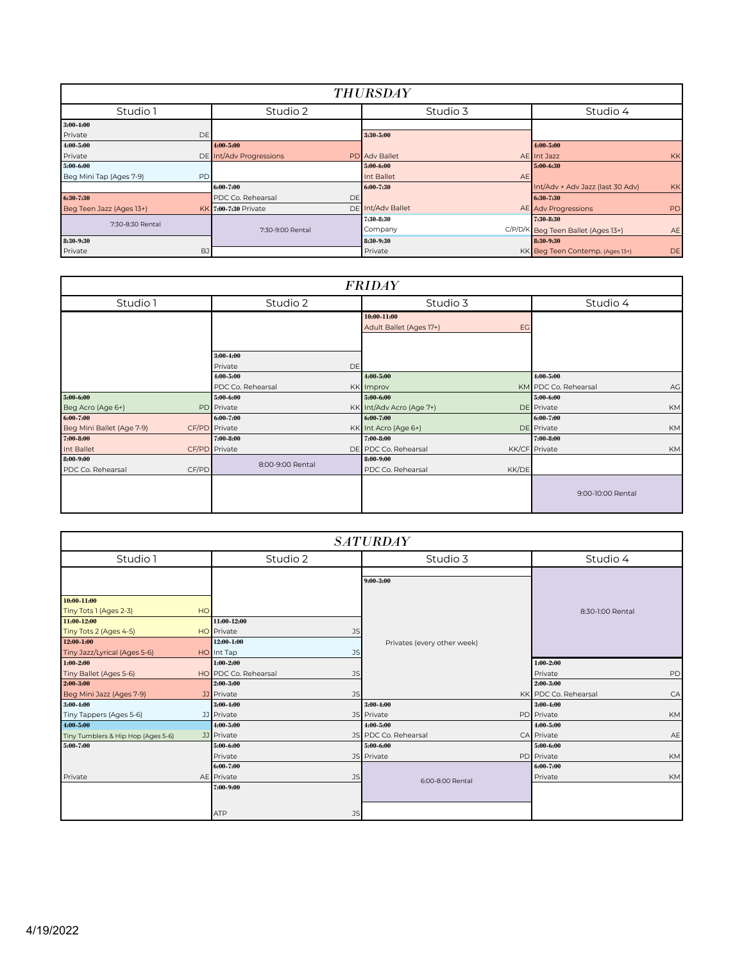| <b>THURSDAY</b>                      |                                |                         |                                               |  |
|--------------------------------------|--------------------------------|-------------------------|-----------------------------------------------|--|
| Studio 1                             | Studio 2                       | Studio 3                | Studio 4                                      |  |
| $3:00-4:00$                          |                                |                         |                                               |  |
| Private<br>DE                        |                                | 3:30-5:00               |                                               |  |
| 4:00-5:00                            | $4:00 - 5:00$                  |                         | 4:00-5:00                                     |  |
| Private                              | DE Int/Adv Progressions        | <b>PD</b> Adv Ballet    | AE Int Jazz<br><b>KK</b>                      |  |
| 5:00-6:00                            |                                | 5:00-6:00               | 5:00-6:30                                     |  |
| <b>PD</b><br>Beg Mini Tap (Ages 7-9) |                                | Int Ballet<br><b>AE</b> |                                               |  |
|                                      | 6:00-7:00                      | 6:00-7:30               | Int/Adv + Adv Jazz (last 30 Adv)<br><b>KK</b> |  |
| 6:30-7:30                            | PDC Co. Rehearsal<br><b>DE</b> |                         | 6:30 7:30                                     |  |
| Beg Teen Jazz (Ages 13+)             | KK 7:00-7:30 Private           | DE Int/Adv Ballet       | AE Adv Progressions<br>PD                     |  |
| 7:30-8:30 Rental                     |                                | 7:30-8:30               | 7:30 8:30                                     |  |
|                                      | 7:30-9:00 Rental               | Company                 | C/P/D/K Beg Teen Ballet (Ages 13+)<br>AE      |  |
| 8:30-9:30                            |                                | 8:30-9:30               | 8:30-9:30                                     |  |
| Private<br>BJ                        |                                | Private                 | KK Beg Teen Contemp. (Ages 13+)<br>DE         |  |

| <b>FRIDAY</b>              |                                       |                               |                            |
|----------------------------|---------------------------------------|-------------------------------|----------------------------|
| Studio 1                   | Studio 2                              | Studio 3                      | Studio 4                   |
|                            |                                       | 10:00-11:00                   |                            |
|                            |                                       | Adult Ballet (Ages 17+)<br>EG |                            |
|                            |                                       |                               |                            |
|                            | $3:00 - 4:00$<br><b>DE</b><br>Private |                               |                            |
|                            | $4:00 - 5:00$                         | 4:00-5:00                     | $4:00 - 5:00$              |
|                            | PDC Co. Rehearsal                     | <b>KK</b> Improv              | KM PDC Co. Rehearsal<br>AG |
| 5:00-6:00                  | 5:00-6:00                             | 5:00-6:00                     | 5:00-6:00                  |
| Beg Acro (Age 6+)          | PD Private                            | KK Int/Adv Acro (Age 7+)      | KM<br>DE Private           |
| 6:00-7:00                  | 6:00-7:00                             | $6:00 - 7:00$                 | 6:00-7:00                  |
| Beg Mini Ballet (Age 7-9)  | CF/PD Private                         | KK Int Acro (Age 6+)          | DE Private<br>KM           |
| 7:00-8:00                  | 7:00-8:00                             | 7:00-8:00                     | 7:00-8:00                  |
| Int Ballet                 | CF/PD Private                         | DE PDC Co. Rehearsal          | KK/CF Private<br><b>KM</b> |
| 8:00-9:00                  | 8:00-9:00 Rental                      | 8:00-9:00                     |                            |
| CF/PD<br>PDC Co. Rehearsal |                                       | KK/DE<br>PDC Co. Rehearsal    |                            |
|                            |                                       |                               | 9:00-10:00 Rental          |

| <b>SATURDAY</b>                                     |                                                             |                                   |                                             |
|-----------------------------------------------------|-------------------------------------------------------------|-----------------------------------|---------------------------------------------|
| Studio 1                                            | Studio 2                                                    | Studio 3                          | Studio 4                                    |
|                                                     |                                                             | 9:00-3:00                         |                                             |
| 10:00-11:00<br>Tiny Tots 1 (Ages 2-3)               | HO                                                          |                                   | 8:30-1:00 Rental                            |
| 11:00 12:00<br>Tiny Tots 2 (Ages 4-5)<br>12:00-1:00 | 11:00-12:00<br><b>HO</b> Private<br><b>JS</b><br>12:00-1:00 | Privates (every other week)       |                                             |
| Tiny Jazz/Lyrical (Ages 5-6)<br>$1:00 - 2:00$       | HO Int Tap<br><b>JS</b><br>$1:00 - 2:00$                    |                                   | $1:00 - 2:00$                               |
| Tiny Ballet (Ages 5-6)<br>2:00-3:00                 | HO PDC Co. Rehearsal<br><b>JS</b><br>2:00-3:00              |                                   | PD<br>Private<br>$2:00 - 3:00$              |
| Beg Mini Jazz (Ages 7-9)<br>3:00-4:00               | JJ Private<br>JS<br>$3:00 - 4:00$                           | 3:00-4:00                         | KK PDC Co. Rehearsal<br>CA<br>$3:00 - 4:00$ |
| Tiny Tappers (Ages 5-6)<br>4:00-5:00                | JJ Private<br>$4:00 - 5:00$                                 | JS Private<br>4:00-5:00           | PD Private<br>KM<br>4:00-5:00               |
| Tiny Tumblers & Hip Hop (Ages 5-6)<br>5:00-7:00     | JJ Private<br>5:00-6:00                                     | JS PDC Co. Rehearsal<br>5:00-6:00 | CA Private<br>AE<br>5:00-6:00               |
|                                                     | Private<br>6:00-7:00                                        | JS Private                        | PD Private<br>KM<br>6:00-7:00               |
| Private                                             | AE Private<br><b>JS</b><br>7:00-9:00                        | 6:00-8:00 Rental                  | Private<br>KM                               |
|                                                     | <b>ATP</b><br>JS                                            |                                   |                                             |